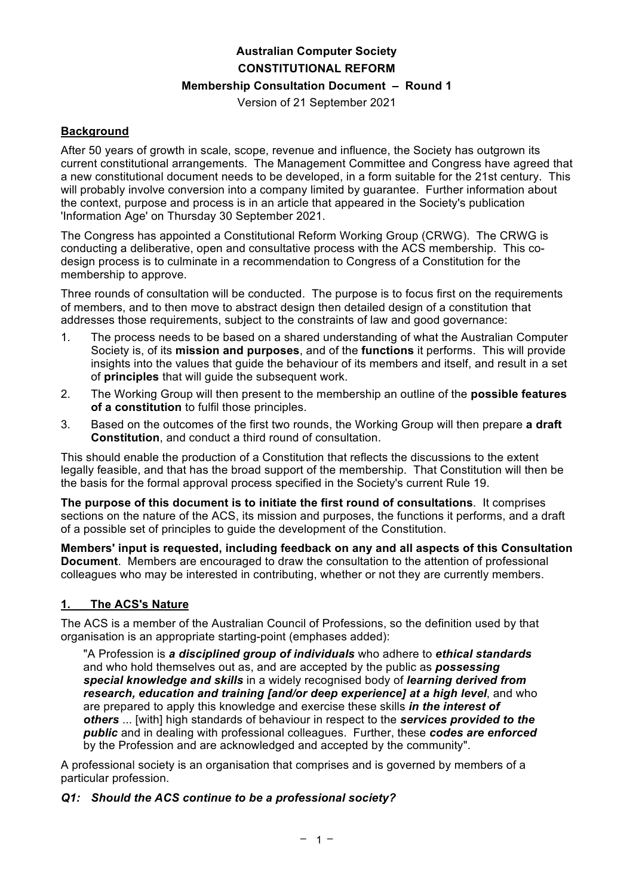# **Australian Computer Society CONSTITUTIONAL REFORM**

## **Membership Consultation Document – Round 1**

Version of 21 September 2021

## **Background**

After 50 years of growth in scale, scope, revenue and influence, the Society has outgrown its current constitutional arrangements. The Management Committee and Congress have agreed that a new constitutional document needs to be developed, in a form suitable for the 21st century. This will probably involve conversion into a company limited by guarantee. Further information about the context, purpose and process is in an article that appeared in the Society's publication 'Information Age' on Thursday 30 September 2021.

The Congress has appointed a Constitutional Reform Working Group (CRWG). The CRWG is conducting a deliberative, open and consultative process with the ACS membership. This codesign process is to culminate in a recommendation to Congress of a Constitution for the membership to approve.

Three rounds of consultation will be conducted. The purpose is to focus first on the requirements of members, and to then move to abstract design then detailed design of a constitution that addresses those requirements, subject to the constraints of law and good governance:

- 1. The process needs to be based on a shared understanding of what the Australian Computer Society is, of its **mission and purposes**, and of the **functions** it performs. This will provide insights into the values that guide the behaviour of its members and itself, and result in a set of **principles** that will guide the subsequent work.
- 2. The Working Group will then present to the membership an outline of the **possible features of a constitution** to fulfil those principles.
- 3. Based on the outcomes of the first two rounds, the Working Group will then prepare **a draft Constitution**, and conduct a third round of consultation.

This should enable the production of a Constitution that reflects the discussions to the extent legally feasible, and that has the broad support of the membership. That Constitution will then be the basis for the formal approval process specified in the Society's current Rule 19.

**The purpose of this document is to initiate the first round of consultations**. It comprises sections on the nature of the ACS, its mission and purposes, the functions it performs, and a draft of a possible set of principles to guide the development of the Constitution.

**Members' input is requested, including feedback on any and all aspects of this Consultation Document**. Members are encouraged to draw the consultation to the attention of professional colleagues who may be interested in contributing, whether or not they are currently members.

## **1. The ACS's Nature**

The ACS is a member of the Australian Council of Professions, so the definition used by that organisation is an appropriate starting-point (emphases added):

"A Profession is *a disciplined group of individuals* who adhere to *ethical standards* and who hold themselves out as, and are accepted by the public as *possessing special knowledge and skills* in a widely recognised body of *learning derived from research, education and training [and/or deep experience] at a high level*, and who are prepared to apply this knowledge and exercise these skills *in the interest of others* ... [with] high standards of behaviour in respect to the *services provided to the public* and in dealing with professional colleagues. Further, these *codes are enforced* by the Profession and are acknowledged and accepted by the community".

A professional society is an organisation that comprises and is governed by members of a particular profession.

#### *Q1: Should the ACS continue to be a professional society?*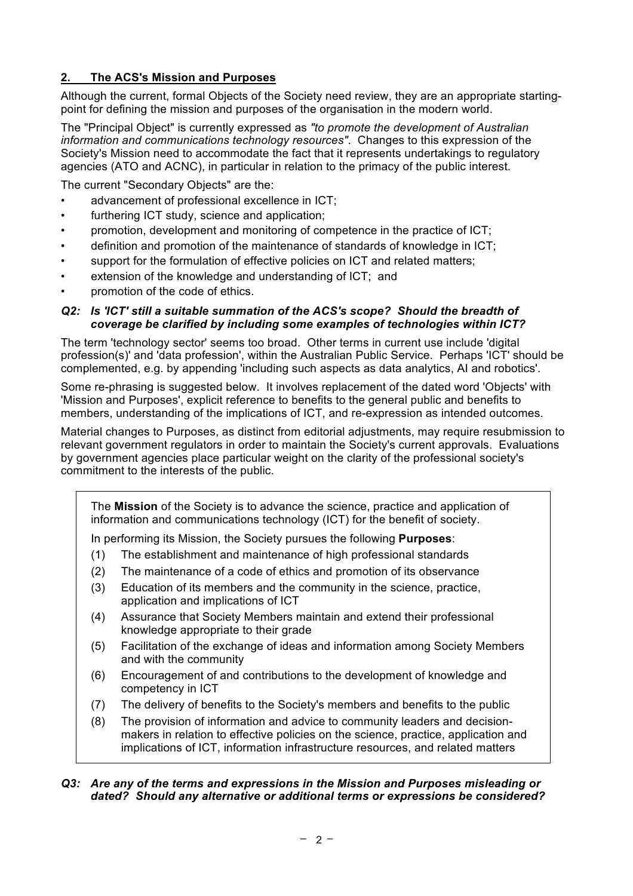# **2. The ACS's Mission and Purposes**

Although the current, formal Objects of the Society need review, they are an appropriate startingpoint for defining the mission and purposes of the organisation in the modern world.

The "Principal Object" is currently expressed as *"to promote the development of Australian information and communications technology resources"*. Changes to this expression of the Society's Mission need to accommodate the fact that it represents undertakings to regulatory agencies (ATO and ACNC), in particular in relation to the primacy of the public interest.

The current "Secondary Objects" are the:

- advancement of professional excellence in ICT;
- furthering ICT study, science and application;
- promotion, development and monitoring of competence in the practice of ICT;
- definition and promotion of the maintenance of standards of knowledge in ICT;
- support for the formulation of effective policies on ICT and related matters;
- extension of the knowledge and understanding of ICT; and
- promotion of the code of ethics.

#### *Q2: Is 'ICT' still a suitable summation of the ACS's scope? Should the breadth of coverage be clarified by including some examples of technologies within ICT?*

The term 'technology sector' seems too broad. Other terms in current use include 'digital profession(s)' and 'data profession', within the Australian Public Service. Perhaps 'ICT' should be complemented, e.g. by appending 'including such aspects as data analytics, AI and robotics'.

Some re-phrasing is suggested below. It involves replacement of the dated word 'Objects' with 'Mission and Purposes', explicit reference to benefits to the general public and benefits to members, understanding of the implications of ICT, and re-expression as intended outcomes.

Material changes to Purposes, as distinct from editorial adjustments, may require resubmission to relevant government regulators in order to maintain the Society's current approvals. Evaluations by government agencies place particular weight on the clarity of the professional society's commitment to the interests of the public.

The **Mission** of the Society is to advance the science, practice and application of information and communications technology (ICT) for the benefit of society.

In performing its Mission, the Society pursues the following **Purposes**:

- (1) The establishment and maintenance of high professional standards
- (2) The maintenance of a code of ethics and promotion of its observance
- (3) Education of its members and the community in the science, practice, application and implications of ICT
- (4) Assurance that Society Members maintain and extend their professional knowledge appropriate to their grade
- (5) Facilitation of the exchange of ideas and information among Society Members and with the community
- (6) Encouragement of and contributions to the development of knowledge and competency in ICT
- (7) The delivery of benefits to the Society's members and benefits to the public
- (8) The provision of information and advice to community leaders and decisionmakers in relation to effective policies on the science, practice, application and implications of ICT, information infrastructure resources, and related matters

#### *Q3: Are any of the terms and expressions in the Mission and Purposes misleading or dated? Should any alternative or additional terms or expressions be considered?*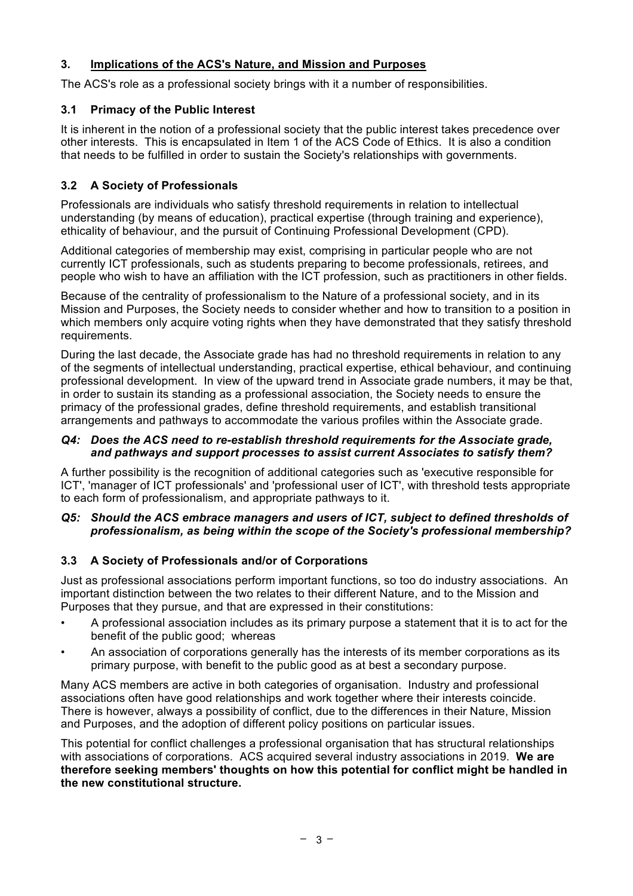## **3. Implications of the ACS's Nature, and Mission and Purposes**

The ACS's role as a professional society brings with it a number of responsibilities.

## **3.1 Primacy of the Public Interest**

It is inherent in the notion of a professional society that the public interest takes precedence over other interests. This is encapsulated in Item 1 of the ACS Code of Ethics. It is also a condition that needs to be fulfilled in order to sustain the Society's relationships with governments.

# **3.2 A Society of Professionals**

Professionals are individuals who satisfy threshold requirements in relation to intellectual understanding (by means of education), practical expertise (through training and experience), ethicality of behaviour, and the pursuit of Continuing Professional Development (CPD).

Additional categories of membership may exist, comprising in particular people who are not currently ICT professionals, such as students preparing to become professionals, retirees, and people who wish to have an affiliation with the ICT profession, such as practitioners in other fields.

Because of the centrality of professionalism to the Nature of a professional society, and in its Mission and Purposes, the Society needs to consider whether and how to transition to a position in which members only acquire voting rights when they have demonstrated that they satisfy threshold requirements.

During the last decade, the Associate grade has had no threshold requirements in relation to any of the segments of intellectual understanding, practical expertise, ethical behaviour, and continuing professional development. In view of the upward trend in Associate grade numbers, it may be that, in order to sustain its standing as a professional association, the Society needs to ensure the primacy of the professional grades, define threshold requirements, and establish transitional arrangements and pathways to accommodate the various profiles within the Associate grade.

## *Q4: Does the ACS need to re-establish threshold requirements for the Associate grade, and pathways and support processes to assist current Associates to satisfy them?*

A further possibility is the recognition of additional categories such as 'executive responsible for ICT', 'manager of ICT professionals' and 'professional user of ICT', with threshold tests appropriate to each form of professionalism, and appropriate pathways to it.

## *Q5: Should the ACS embrace managers and users of ICT, subject to defined thresholds of professionalism, as being within the scope of the Society's professional membership?*

## **3.3 A Society of Professionals and/or of Corporations**

Just as professional associations perform important functions, so too do industry associations. An important distinction between the two relates to their different Nature, and to the Mission and Purposes that they pursue, and that are expressed in their constitutions:

- A professional association includes as its primary purpose a statement that it is to act for the benefit of the public good; whereas
- An association of corporations generally has the interests of its member corporations as its primary purpose, with benefit to the public good as at best a secondary purpose.

Many ACS members are active in both categories of organisation. Industry and professional associations often have good relationships and work together where their interests coincide. There is however, always a possibility of conflict, due to the differences in their Nature, Mission and Purposes, and the adoption of different policy positions on particular issues.

This potential for conflict challenges a professional organisation that has structural relationships with associations of corporations. ACS acquired several industry associations in 2019. **We are therefore seeking members' thoughts on how this potential for conflict might be handled in the new constitutional structure.**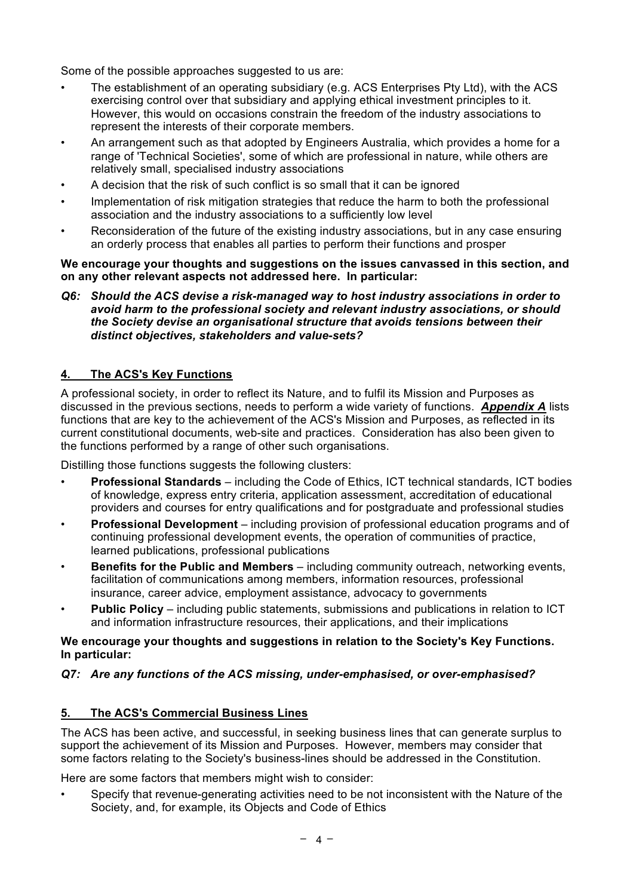Some of the possible approaches suggested to us are:

- The establishment of an operating subsidiary (e.g. ACS Enterprises Pty Ltd), with the ACS exercising control over that subsidiary and applying ethical investment principles to it. However, this would on occasions constrain the freedom of the industry associations to represent the interests of their corporate members.
- An arrangement such as that adopted by Engineers Australia, which provides a home for a range of 'Technical Societies', some of which are professional in nature, while others are relatively small, specialised industry associations
- A decision that the risk of such conflict is so small that it can be ignored
- Implementation of risk mitigation strategies that reduce the harm to both the professional association and the industry associations to a sufficiently low level
- Reconsideration of the future of the existing industry associations, but in any case ensuring an orderly process that enables all parties to perform their functions and prosper

#### **We encourage your thoughts and suggestions on the issues canvassed in this section, and on any other relevant aspects not addressed here. In particular:**

*Q6: Should the ACS devise a risk-managed way to host industry associations in order to avoid harm to the professional society and relevant industry associations, or should the Society devise an organisational structure that avoids tensions between their distinct objectives, stakeholders and value-sets?*

## **4. The ACS's Key Functions**

A professional society, in order to reflect its Nature, and to fulfil its Mission and Purposes as discussed in the previous sections, needs to perform a wide variety of functions. *Appendix A* lists functions that are key to the achievement of the ACS's Mission and Purposes, as reflected in its current constitutional documents, web-site and practices. Consideration has also been given to the functions performed by a range of other such organisations.

Distilling those functions suggests the following clusters:

- **Professional Standards** including the Code of Ethics, ICT technical standards, ICT bodies of knowledge, express entry criteria, application assessment, accreditation of educational providers and courses for entry qualifications and for postgraduate and professional studies
- **Professional Development** including provision of professional education programs and of continuing professional development events, the operation of communities of practice, learned publications, professional publications
- **Benefits for the Public and Members** including community outreach, networking events, facilitation of communications among members, information resources, professional insurance, career advice, employment assistance, advocacy to governments
- **Public Policy** including public statements, submissions and publications in relation to ICT and information infrastructure resources, their applications, and their implications

#### **We encourage your thoughts and suggestions in relation to the Society's Key Functions. In particular:**

## *Q7: Are any functions of the ACS missing, under-emphasised, or over-emphasised?*

## **5. The ACS's Commercial Business Lines**

The ACS has been active, and successful, in seeking business lines that can generate surplus to support the achievement of its Mission and Purposes. However, members may consider that some factors relating to the Society's business-lines should be addressed in the Constitution.

Here are some factors that members might wish to consider:

• Specify that revenue-generating activities need to be not inconsistent with the Nature of the Society, and, for example, its Objects and Code of Ethics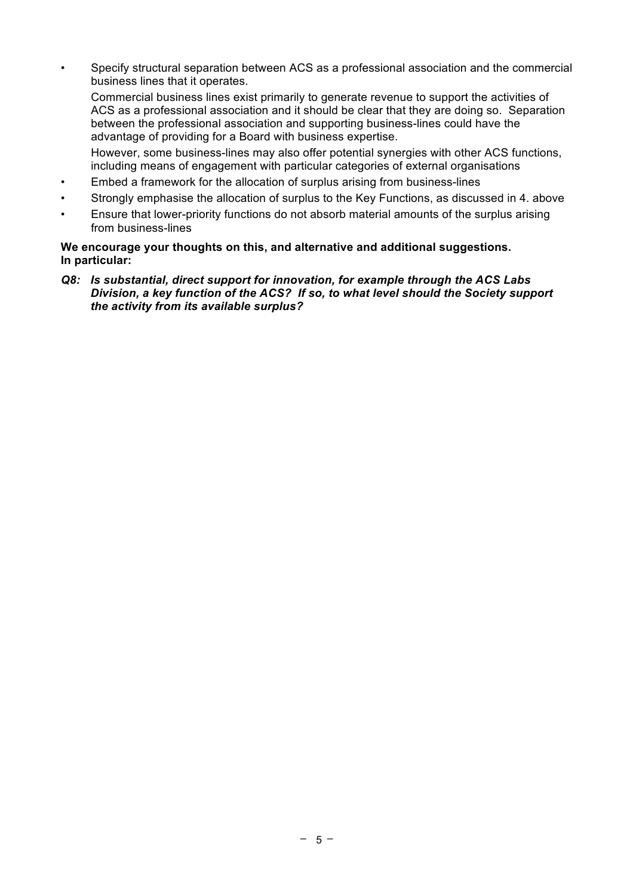• Specify structural separation between ACS as a professional association and the commercial business lines that it operates.

Commercial business lines exist primarily to generate revenue to support the activities of ACS as a professional association and it should be clear that they are doing so. Separation between the professional association and supporting business-lines could have the advantage of providing for a Board with business expertise.

However, some business-lines may also offer potential synergies with other ACS functions, including means of engagement with particular categories of external organisations

- Embed a framework for the allocation of surplus arising from business-lines
- Strongly emphasise the allocation of surplus to the Key Functions, as discussed in 4. above
- Ensure that lower-priority functions do not absorb material amounts of the surplus arising from business-lines

#### **We encourage your thoughts on this, and alternative and additional suggestions. In particular:**

*Q8: Is substantial, direct support for innovation, for example through the ACS Labs Division, a key function of the ACS? If so, to what level should the Society support the activity from its available surplus?*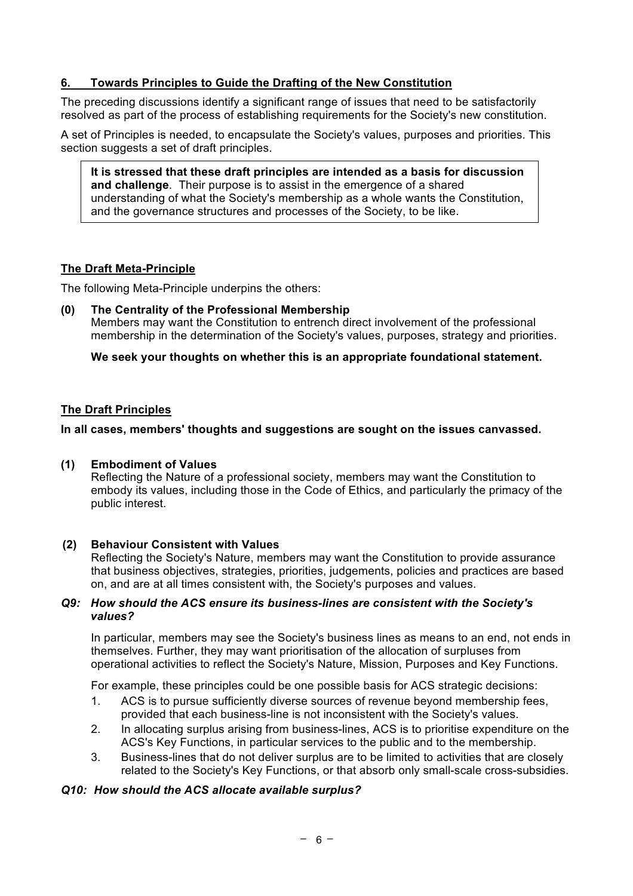## **6. Towards Principles to Guide the Drafting of the New Constitution**

The preceding discussions identify a significant range of issues that need to be satisfactorily resolved as part of the process of establishing requirements for the Society's new constitution.

A set of Principles is needed, to encapsulate the Society's values, purposes and priorities. This section suggests a set of draft principles.

**It is stressed that these draft principles are intended as a basis for discussion and challenge**. Their purpose is to assist in the emergence of a shared understanding of what the Society's membership as a whole wants the Constitution, and the governance structures and processes of the Society, to be like.

## **The Draft Meta-Principle**

The following Meta-Principle underpins the others:

**(0) The Centrality of the Professional Membership** Members may want the Constitution to entrench direct involvement of the professional membership in the determination of the Society's values, purposes, strategy and priorities.

**We seek your thoughts on whether this is an appropriate foundational statement.**

## **The Draft Principles**

**In all cases, members' thoughts and suggestions are sought on the issues canvassed.**

## **(1) Embodiment of Values**

Reflecting the Nature of a professional society, members may want the Constitution to embody its values, including those in the Code of Ethics, and particularly the primacy of the public interest.

## **(2) Behaviour Consistent with Values**

Reflecting the Society's Nature, members may want the Constitution to provide assurance that business objectives, strategies, priorities, judgements, policies and practices are based on, and are at all times consistent with, the Society's purposes and values.

#### *Q9: How should the ACS ensure its business-lines are consistent with the Society's values?*

In particular, members may see the Society's business lines as means to an end, not ends in themselves. Further, they may want prioritisation of the allocation of surpluses from operational activities to reflect the Society's Nature, Mission, Purposes and Key Functions.

For example, these principles could be one possible basis for ACS strategic decisions:

- 1. ACS is to pursue sufficiently diverse sources of revenue beyond membership fees, provided that each business-line is not inconsistent with the Society's values.
- 2. In allocating surplus arising from business-lines, ACS is to prioritise expenditure on the ACS's Key Functions, in particular services to the public and to the membership.
- 3. Business-lines that do not deliver surplus are to be limited to activities that are closely related to the Society's Key Functions, or that absorb only small-scale cross-subsidies.

## *Q10: How should the ACS allocate available surplus?*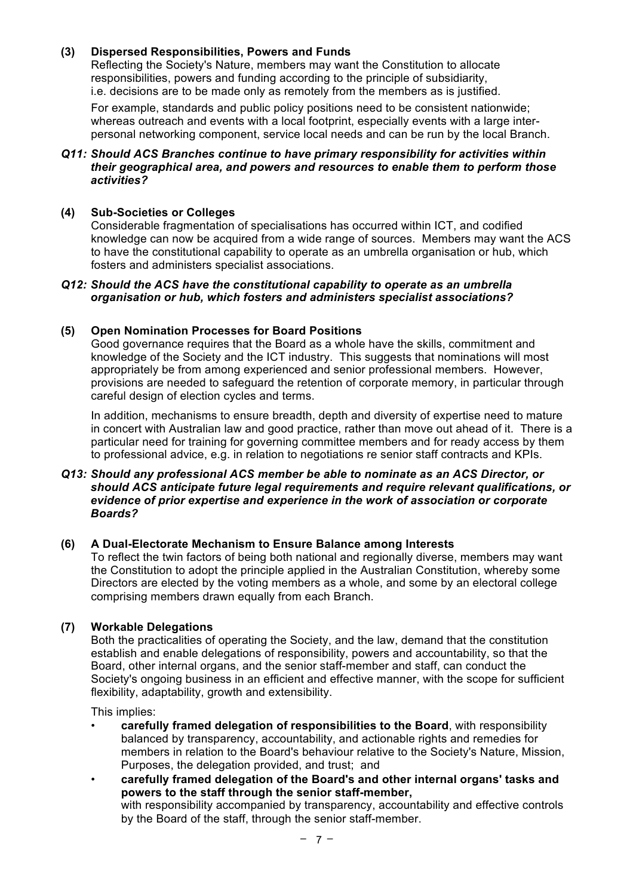## **(3) Dispersed Responsibilities, Powers and Funds**

Reflecting the Society's Nature, members may want the Constitution to allocate responsibilities, powers and funding according to the principle of subsidiarity, i.e. decisions are to be made only as remotely from the members as is justified.

For example, standards and public policy positions need to be consistent nationwide; whereas outreach and events with a local footprint, especially events with a large interpersonal networking component, service local needs and can be run by the local Branch.

#### *Q11: Should ACS Branches continue to have primary responsibility for activities within their geographical area, and powers and resources to enable them to perform those activities?*

#### **(4) Sub-Societies or Colleges**

Considerable fragmentation of specialisations has occurred within ICT, and codified knowledge can now be acquired from a wide range of sources. Members may want the ACS to have the constitutional capability to operate as an umbrella organisation or hub, which fosters and administers specialist associations.

#### *Q12: Should the ACS have the constitutional capability to operate as an umbrella organisation or hub, which fosters and administers specialist associations?*

#### **(5) Open Nomination Processes for Board Positions**

Good governance requires that the Board as a whole have the skills, commitment and knowledge of the Society and the ICT industry. This suggests that nominations will most appropriately be from among experienced and senior professional members. However, provisions are needed to safeguard the retention of corporate memory, in particular through careful design of election cycles and terms.

In addition, mechanisms to ensure breadth, depth and diversity of expertise need to mature in concert with Australian law and good practice, rather than move out ahead of it. There is a particular need for training for governing committee members and for ready access by them to professional advice, e.g. in relation to negotiations re senior staff contracts and KPIs.

#### *Q13: Should any professional ACS member be able to nominate as an ACS Director, or should ACS anticipate future legal requirements and require relevant qualifications, or evidence of prior expertise and experience in the work of association or corporate Boards?*

## **(6) A Dual-Electorate Mechanism to Ensure Balance among Interests**

To reflect the twin factors of being both national and regionally diverse, members may want the Constitution to adopt the principle applied in the Australian Constitution, whereby some Directors are elected by the voting members as a whole, and some by an electoral college comprising members drawn equally from each Branch.

## **(7) Workable Delegations**

Both the practicalities of operating the Society, and the law, demand that the constitution establish and enable delegations of responsibility, powers and accountability, so that the Board, other internal organs, and the senior staff-member and staff, can conduct the Society's ongoing business in an efficient and effective manner, with the scope for sufficient flexibility, adaptability, growth and extensibility.

This implies:

• **carefully framed delegation of responsibilities to the Board**, with responsibility balanced by transparency, accountability, and actionable rights and remedies for members in relation to the Board's behaviour relative to the Society's Nature, Mission, Purposes, the delegation provided, and trust; and

• **carefully framed delegation of the Board's and other internal organs' tasks and powers to the staff through the senior staff-member,**  with responsibility accompanied by transparency, accountability and effective controls by the Board of the staff, through the senior staff-member.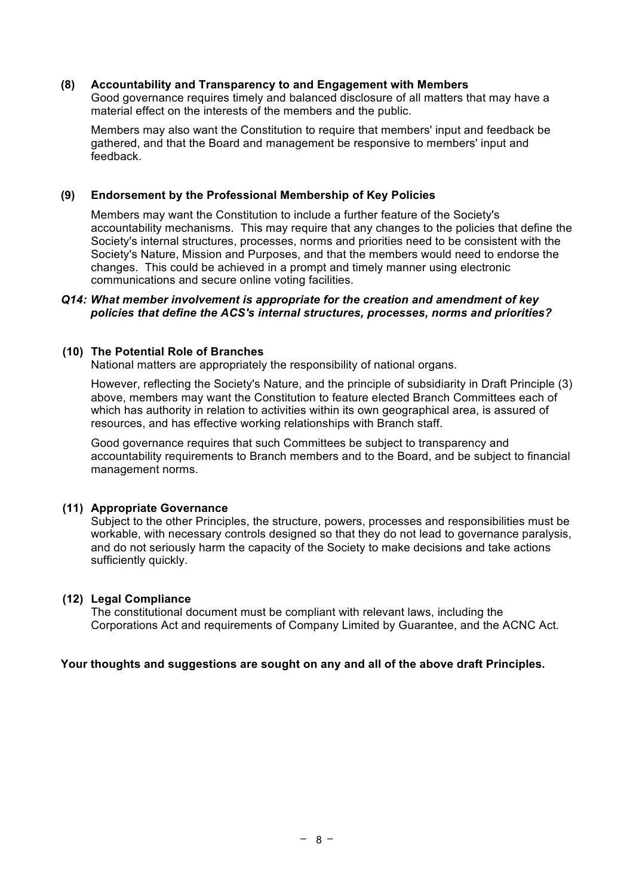#### **(8) Accountability and Transparency to and Engagement with Members**

Good governance requires timely and balanced disclosure of all matters that may have a material effect on the interests of the members and the public.

Members may also want the Constitution to require that members' input and feedback be gathered, and that the Board and management be responsive to members' input and feedback.

#### **(9) Endorsement by the Professional Membership of Key Policies**

Members may want the Constitution to include a further feature of the Society's accountability mechanisms. This may require that any changes to the policies that define the Society's internal structures, processes, norms and priorities need to be consistent with the Society's Nature, Mission and Purposes, and that the members would need to endorse the changes. This could be achieved in a prompt and timely manner using electronic communications and secure online voting facilities.

#### *Q14: What member involvement is appropriate for the creation and amendment of key policies that define the ACS's internal structures, processes, norms and priorities?*

#### **(10) The Potential Role of Branches**

National matters are appropriately the responsibility of national organs.

However, reflecting the Society's Nature, and the principle of subsidiarity in Draft Principle (3) above, members may want the Constitution to feature elected Branch Committees each of which has authority in relation to activities within its own geographical area, is assured of resources, and has effective working relationships with Branch staff.

Good governance requires that such Committees be subject to transparency and accountability requirements to Branch members and to the Board, and be subject to financial management norms.

#### **(11) Appropriate Governance**

Subject to the other Principles, the structure, powers, processes and responsibilities must be workable, with necessary controls designed so that they do not lead to governance paralysis, and do not seriously harm the capacity of the Society to make decisions and take actions sufficiently quickly.

## **(12) Legal Compliance**

The constitutional document must be compliant with relevant laws, including the Corporations Act and requirements of Company Limited by Guarantee, and the ACNC Act.

#### **Your thoughts and suggestions are sought on any and all of the above draft Principles.**